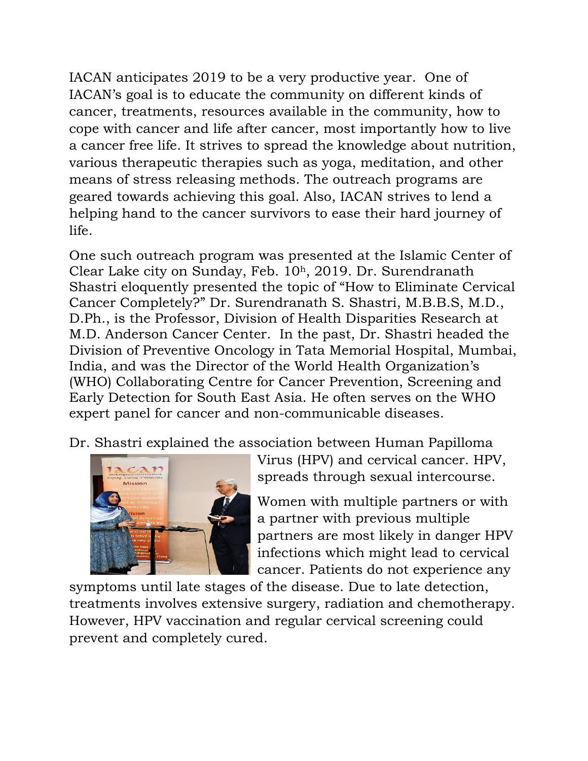IACAN anticipates 2019 to be a very productive year. One of IACAN's goal is to educate the community on different kinds of cancer, treatments, resources available in the community, how to cope with cancer and life after cancer, most importantly how to live a cancer free life. It strives to spread the knowledge about nutrition, various therapeutic therapies such as yoga, meditation, and other means of stress releasing methods. The outreach programs are geared towards achieving this goal. Also, IACAN strives to lend a helping hand to the cancer survivors to ease their hard journey of life.

One such outreach program was presented at the Islamic Center of Clear Lake city on Sunday, Feb. 10h, 2019. Dr. Surendranath Shastri eloquently presented the topic of "How to Eliminate Cervical Cancer Completely?" Dr. Surendranath S. Shastri, M.B.B.S, M.D., D.Ph., is the Professor, Division of Health Disparities Research at M.D. Anderson Cancer Center. In the past, Dr. Shastri headed the Division of Preventive Oncology in Tata Memorial Hospital, Mumbai, India, and was the Director of the World Health Organization's (WHO) Collaborating Centre for Cancer Prevention, Screening and Early Detection for South East Asia. He often serves on the WHO expert panel for cancer and non-communicable diseases.

Dr. Shastri explained the association between Human Papilloma



Virus (HPV) and cervical cancer. HPV, spreads through sexual intercourse.

Women with multiple partners or with a partner with previous multiple partners are most likely in danger HPV infections which might lead to cervical cancer. Patients do not experience any

symptoms until late stages of the disease. Due to late detection, treatments involves extensive surgery, radiation and chemotherapy. However, HPV vaccination and regular cervical screening could prevent and completely cured.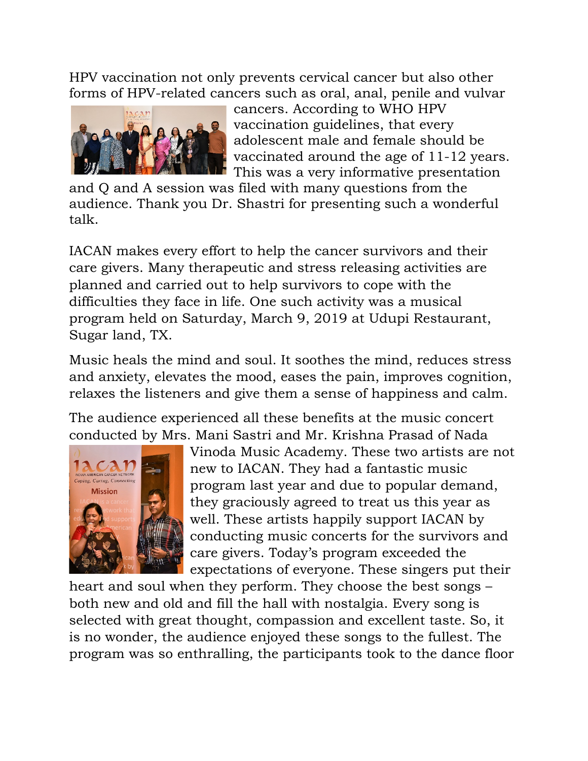HPV vaccination not only prevents cervical cancer but also other forms of HPV-related cancers such as oral, anal, penile and vulvar



cancers. According to WHO HPV vaccination guidelines, that every adolescent male and female should be vaccinated around the age of 11-12 years. This was a very informative presentation

and Q and A session was filed with many questions from the audience. Thank you Dr. Shastri for presenting such a wonderful talk.

IACAN makes every effort to help the cancer survivors and their care givers. Many therapeutic and stress releasing activities are planned and carried out to help survivors to cope with the difficulties they face in life. One such activity was a musical program held on Saturday, March 9, 2019 at Udupi Restaurant, Sugar land, TX.

Music heals the mind and soul. It soothes the mind, reduces stress and anxiety, elevates the mood, eases the pain, improves cognition, relaxes the listeners and give them a sense of happiness and calm.

The audience experienced all these benefits at the music concert conducted by Mrs. Mani Sastri and Mr. Krishna Prasad of Nada



Vinoda Music Academy. These two artists are not new to IACAN. They had a fantastic music program last year and due to popular demand, they graciously agreed to treat us this year as well. These artists happily support IACAN by conducting music concerts for the survivors and care givers. Today's program exceeded the expectations of everyone. These singers put their

heart and soul when they perform. They choose the best songs – both new and old and fill the hall with nostalgia. Every song is selected with great thought, compassion and excellent taste. So, it is no wonder, the audience enjoyed these songs to the fullest. The program was so enthralling, the participants took to the dance floor